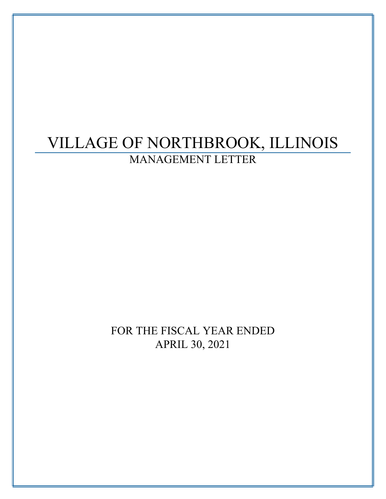# VILLAGE OF NORTHBROOK, ILLINOIS MANAGEMENT LETTER

FOR THE FISCAL YEAR ENDED APRIL 30, 2021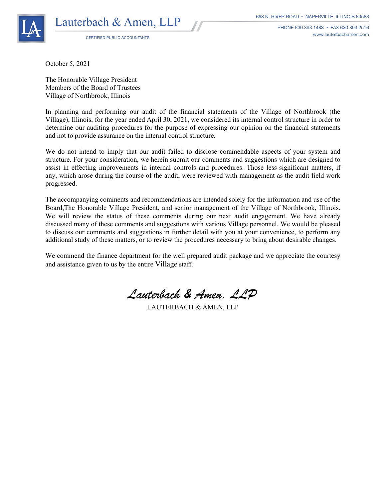

PHONE 630,393,1483 · FAX 630,393,2516 www.lauterbachamen.com

CERTIFIED PUBLIC ACCOUNTANTS

October 5, 2021

The Honorable Village President Members of the Board of Trustees Village of Northbrook, Illinois

In planning and performing our audit of the financial statements of the Village of Northbrook (the Village), Illinois, for the year ended April 30, 2021, we considered its internal control structure in order to determine our auditing procedures for the purpose of expressing our opinion on the financial statements and not to provide assurance on the internal control structure.

We do not intend to imply that our audit failed to disclose commendable aspects of your system and structure. For your consideration, we herein submit our comments and suggestions which are designed to assist in effecting improvements in internal controls and procedures. Those less-significant matters, if any, which arose during the course of the audit, were reviewed with management as the audit field work progressed.

The accompanying comments and recommendations are intended solely for the information and use of the Board,The Honorable Village President, and senior management of the Village of Northbrook, Illinois. We will review the status of these comments during our next audit engagement. We have already discussed many of these comments and suggestions with various Village personnel. We would be pleased to discuss our comments and suggestions in further detail with you at your convenience, to perform any additional study of these matters, or to review the procedures necessary to bring about desirable changes.

We commend the finance department for the well prepared audit package and we appreciate the courtesy and assistance given to us by the entire Village staff.

Lauterback & Amen. LLD

LAUTERBACH & AMEN, LLP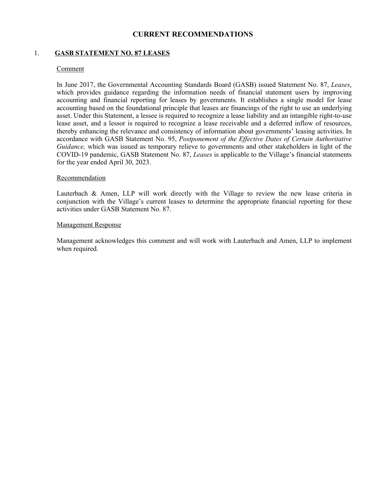# **CURRENT RECOMMENDATIONS**

# 1. **GASB STATEMENT NO. 87 LEASES**

#### Comment

In June 2017, the Governmental Accounting Standards Board (GASB) issued Statement No. 87, *Leases*, which provides guidance regarding the information needs of financial statement users by improving accounting and financial reporting for leases by governments. It establishes a single model for lease accounting based on the foundational principle that leases are financings of the right to use an underlying asset. Under this Statement, a lessee is required to recognize a lease liability and an intangible right-to-use lease asset, and a lessor is required to recognize a lease receivable and a deferred inflow of resources, thereby enhancing the relevance and consistency of information about governments' leasing activities. In accordance with GASB Statement No. 95, *Postponement of the Effective Dates of Certain Authoritative Guidance,* which was issued as temporary relieve to governments and other stakeholders in light of the COVID-19 pandemic, GASB Statement No. 87, *Leases* is applicable to the Village's financial statements for the year ended April 30, 2023.

#### Recommendation

Lauterbach & Amen, LLP will work directly with the Village to review the new lease criteria in conjunction with the Village's current leases to determine the appropriate financial reporting for these activities under GASB Statement No. 87.

#### Management Response

Management acknowledges this comment and will work with Lauterbach and Amen, LLP to implement when required.